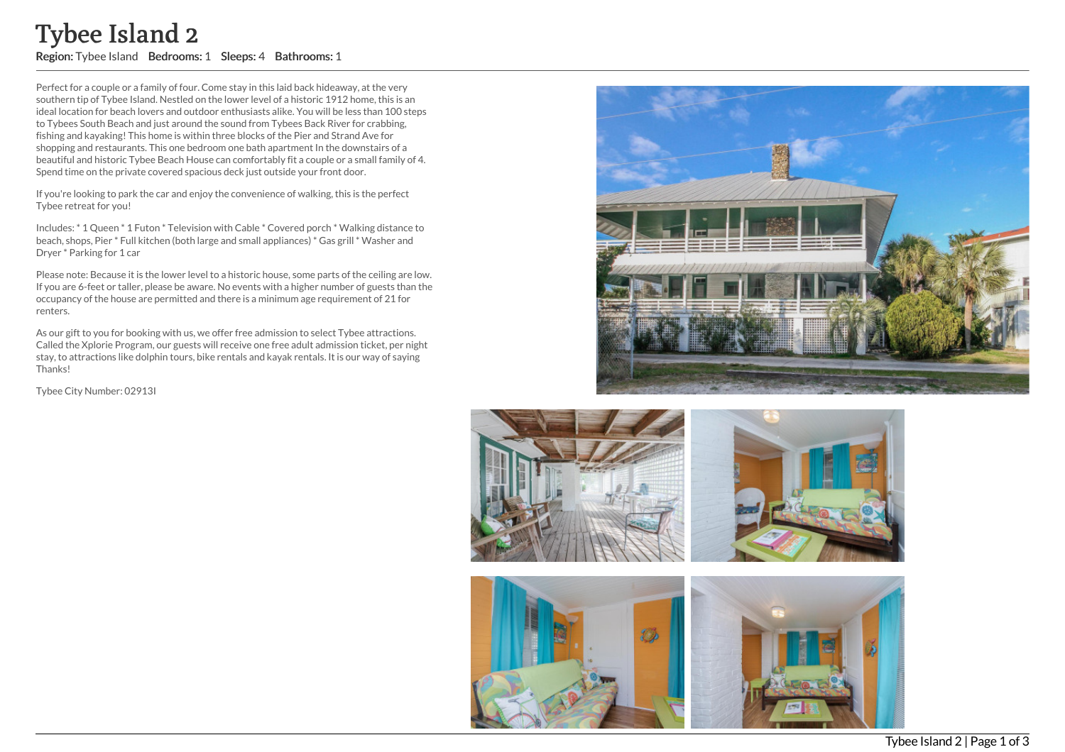## Tybee Island 2

## Region: Tybee Island Bedrooms: 1 Sleeps: 4 Bathrooms: 1

Perfect for a couple or a family of four. Come stay in this laid back hideaway, at the very southern tip of Tybee Island. Nestled on the lower level of a historic 1912 home, this is an ideal location for beach lovers and outdoor enthusiasts alike. You will be less than 100 steps to Tybees South Beach and just around the sound from Tybees Back River for crabbing, fishing and kayaking! This home is within three blocks of the Pier and Strand Ave for shopping and restaurants. This one bedroom one bath apartment In the downstairs of a beautiful and historic Tybee Beach House can comfortably fit a couple or a small family of 4. Spend time on the private covered spacious deck just outside your front door.

If you're looking to park the car and enjoy the convenience of walking, this is the perfect Tybee retreat for you!

Includes:\* 1 Queen \* 1 Futon \* Television with Cable \* Covered porch \* Walking distance to beach, shops, Pier \* Full kitchen (both large and small appliances) \* Gas grill \* Washer and Dryer \* Parking for 1 car

Please note: Because it is the lower level to a historic house, some parts of the ceiling are low. If you are 6-feet or taller, please be aware. No events with a higher number of guests than the occupancy of the house are permitted and there is a minimum age requirement of 21 for renters.

As our gift to you for booking with us, we offer free admission to select Tybee attractions. Called the Xplorie Program, our guests will receive one free adult admission ticket, per night stay, to attractions like dolphin tours, bike rentals and kayak rentals. It is our way of saying Thanks!

Tybee City Number: 02913I



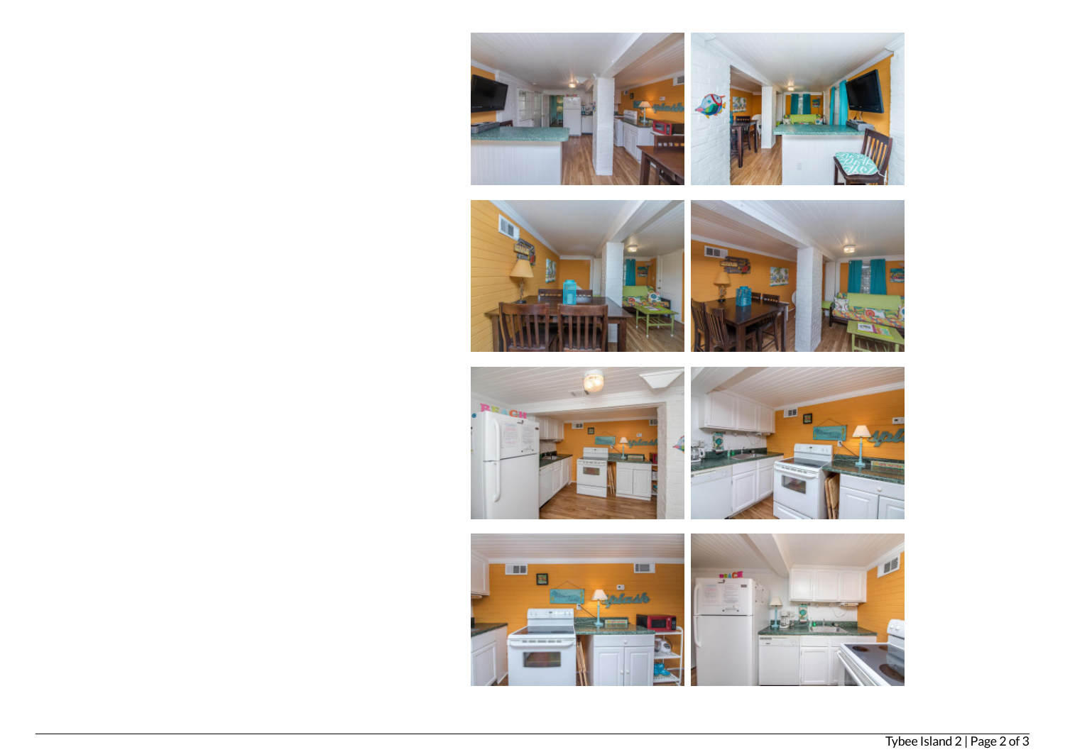